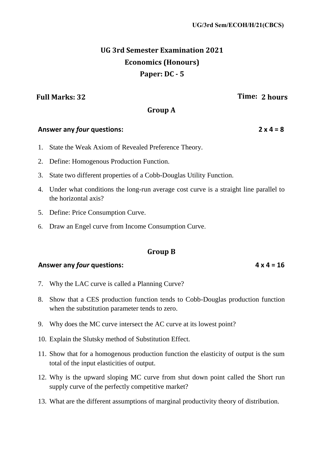# **UG 3rd Semester Examination 2021 Economics (Honours) Paper: DC - 5**

## **Full Marks: 32 Time: 2 hours**

## **Group A**

## **Answer any** *four* **questions: 2 x 4 = 8**

- 1. State the Weak Axiom of Revealed Preference Theory.
- 2. Define: Homogenous Production Function.
- 3. State two different properties of a Cobb-Douglas Utility Function.
- 4. Under what conditions the long-run average cost curve is a straight line parallel to the horizontal axis?
- 5. Define: Price Consumption Curve.
- 6. Draw an Engel curve from Income Consumption Curve.

## **Group B**

## **Answer any** *four* **questions: 4 x 4 = 16**

- 7. Why the LAC curve is called a Planning Curve?
- 8. Show that a CES production function tends to Cobb-Douglas production function when the substitution parameter tends to zero.
- 9. Why does the MC curve intersect the AC curve at its lowest point?
- 10. Explain the Slutsky method of Substitution Effect.
- 11. Show that for a homogenous production function the elasticity of output is the sum total of the input elasticities of output.
- 12. Why is the upward sloping MC curve from shut down point called the Short run supply curve of the perfectly competitive market?
- 13. What are the different assumptions of marginal productivity theory of distribution.